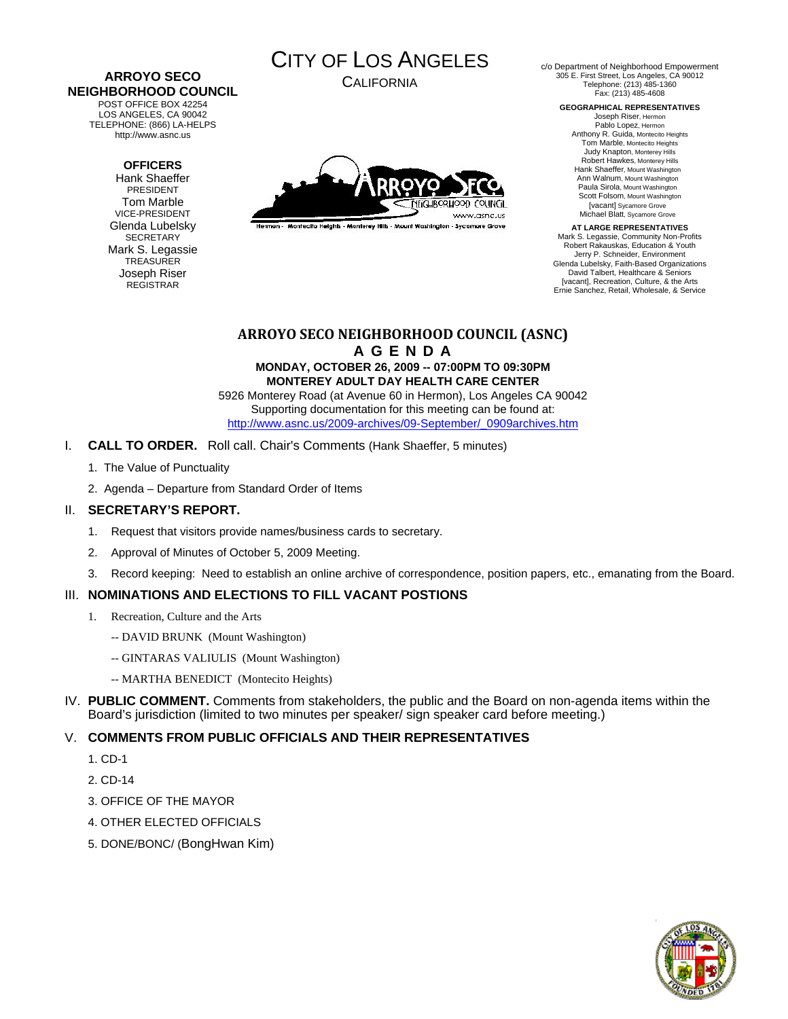#### **ARROYO SECO NEIGHBORHOOD COUNCIL**  POST OFFICE BOX 42254

LOS ANGELES, CA 90042 TELEPHONE: (866) LA-HELPS http://www.asnc.us

### **OFFICERS**

Hank Shaeffer PRESIDENT Tom Marble VICE-PRESIDENT Glenda Lubelsky SECRETARY Mark S. Legassie **TREASURER** Joseph Riser REGISTRAR



CALIFORNIA



Hermon - Montecito Heights - Monterey Hills - Mount Washington - Sycamore Grove

c/o Department of Neighborhood Empowerment 305 E. First Street, Los Angeles, CA 90012 Telephone: (213) 485-1360 Fax: (213) 485-4608

**GEOGRAPHICAL REPRESENTATIVES** 

Joseph Riser, Hermon Pablo Lopez, Hermon Anthony R. Guida, Montecito Heights Tom Marble, Montecito Heights Judy Knapton, Monterey Hills Robert Hawkes, Monterey Hills Hank Shaeffer, Mount Washington Ann Walnum, Mount Washington Paula Sirola, Mount Washington Scott Folsom, Mount Washington [vacant] Sycamore Grove Michael Blatt, Sycamore Grove

**AT LARGE REPRESENTATIVES**  Mark S. Legassie, Community Non-Profits Robert Rakauskas, Education & Youth Jerry P. Schneider, Environment Glenda Lubelsky, Faith-Based Organizations David Talbert, Healthcare & Seniors [vacant], Recreation, Culture, & the Arts Ernie Sanchez, Retail, Wholesale, & Service

# **ARROYO SECO NEIGHBORHOOD COUNCIL (ASNC)**

**A G E N D A MONDAY, OCTOBER 26, 2009 -- 07:00PM TO 09:30PM MONTEREY ADULT DAY HEALTH CARE CENTER** 

5926 Monterey Road (at Avenue 60 in Hermon), Los Angeles CA 90042 Supporting documentation for this meeting can be found at: [http://www.asnc.us/2009-archives/09-September/\\_0909archives.htm](http://www.asnc.us/2009-archives/09-September/_0909archives.htm)

- I. **CALL TO ORDER.** Roll call. Chair's Comments (Hank Shaeffer, 5 minutes)
	- 1. The Value of Punctuality
	- 2. Agenda Departure from Standard Order of Items

## II. **SECRETARY'S REPORT.**

- 1. Request that visitors provide names/business cards to secretary.
- 2. Approval of Minutes of October 5, 2009 Meeting.
- 3. Record keeping: Need to establish an online archive of correspondence, position papers, etc., emanating from the Board.

# III. **NOMINATIONS AND ELECTIONS TO FILL VACANT POSTIONS**

- 1. Recreation, Culture and the Arts
	- -- DAVID BRUNK (Mount Washington)
	- -- GINTARAS VALIULIS (Mount Washington)
	- -- MARTHA BENEDICT (Montecito Heights)
- IV. **PUBLIC COMMENT.** Comments from stakeholders, the public and the Board on non-agenda items within the Board's jurisdiction (limited to two minutes per speaker/ sign speaker card before meeting.)

# V. **COMMENTS FROM PUBLIC OFFICIALS AND THEIR REPRESENTATIVES**

- 1. CD-1
- 2. CD-14
- 3. OFFICE OF THE MAYOR
- 4. OTHER ELECTED OFFICIALS
- 5. DONE/BONC/ (BongHwan Kim)

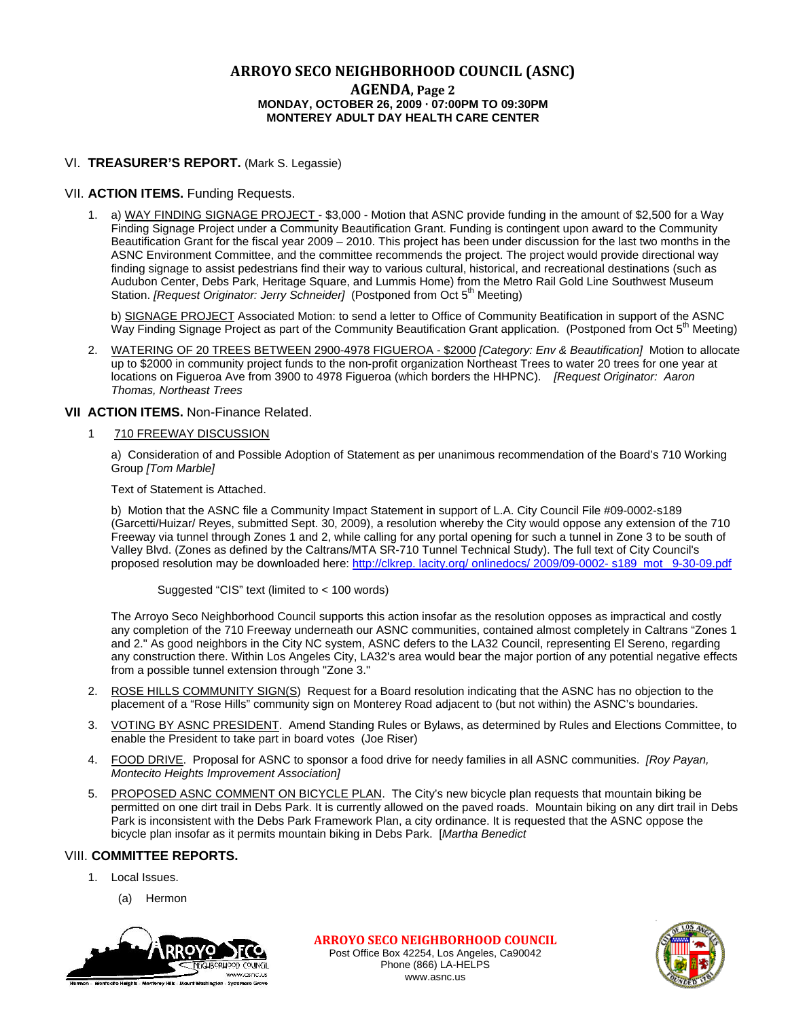# **ARROYO SECO NEIGHBORHOOD COUNCIL (ASNC)**

### **AGENDA, Page 2 MONDAY, OCTOBER 26, 2009 · 07:00PM TO 09:30PM MONTEREY ADULT DAY HEALTH CARE CENTER**

### VI. **TREASURER'S REPORT.** (Mark S. Legassie)

### VII. **ACTION ITEMS.** Funding Requests.

1. a) WAY FINDING SIGNAGE PROJECT - \$3,000 - Motion that ASNC provide funding in the amount of \$2,500 for a Way Finding Signage Project under a Community Beautification Grant. Funding is contingent upon award to the Community Beautification Grant for the fiscal year 2009 – 2010. This project has been under discussion for the last two months in the ASNC Environment Committee, and the committee recommends the project. The project would provide directional way finding signage to assist pedestrians find their way to various cultural, historical, and recreational destinations (such as Audubon Center, Debs Park, Heritage Square, and Lummis Home) from the Metro Rail Gold Line Southwest Museum Station. *[Request Originator: Jerry Schneider]* (Postponed from Oct 5<sup>th</sup> Meeting)

 b) SIGNAGE PROJECT Associated Motion: to send a letter to Office of Community Beatification in support of the ASNC Way Finding Signage Project as part of the Community Beautification Grant application. (Postponed from Oct  $5<sup>th</sup>$  Meeting)

2. WATERING OF 20 TREES BETWEEN 2900-4978 FIGUEROA - \$2000 *[Category: Env & Beautification]* Motion to allocate up to \$2000 in community project funds to the non-profit organization Northeast Trees to water 20 trees for one year at locations on Figueroa Ave from 3900 to 4978 Figueroa (which borders the HHPNC). *[Request Originator: Aaron Thomas, Northeast Trees* 

### **VII ACTION ITEMS.** Non-Finance Related.

### 1 710 FREEWAY DISCUSSION

a) Consideration of and Possible Adoption of Statement as per unanimous recommendation of the Board's 710 Working Group *[Tom Marble]*

Text of Statement is Attached.

b) Motion that the ASNC file a Community Impact Statement in support of L.A. City Council File #09-0002-s189 (Garcetti/Huizar/ Reyes, submitted Sept. 30, 2009), a resolution whereby the City would oppose any extension of the 710 Freeway via tunnel through Zones 1 and 2, while calling for any portal opening for such a tunnel in Zone 3 to be south of Valley Blvd. (Zones as defined by the Caltrans/MTA SR-710 Tunnel Technical Study). The full text of City Council's proposed resolution may be downloaded here: [http://clkrep. lacity.org/ onlinedocs/ 2009/09-0002- s189\\_mot\\_ 9-30-09.pdf](http://clkrep.lacity.org/onlinedocs/2009/09-0002-s189_mot_9-30-09.pdf)

Suggested "CIS" text (limited to < 100 words)

The Arroyo Seco Neighborhood Council supports this action insofar as the resolution opposes as impractical and costly any completion of the 710 Freeway underneath our ASNC communities, contained almost completely in Caltrans "Zones 1 and 2." As good neighbors in the City NC system, ASNC defers to the LA32 Council, representing El Sereno, regarding any construction there. Within Los Angeles City, LA32's area would bear the major portion of any potential negative effects from a possible tunnel extension through "Zone 3."

- 2. ROSE HILLS COMMUNITY SIGN(S) Request for a Board resolution indicating that the ASNC has no objection to the placement of a "Rose Hills" community sign on Monterey Road adjacent to (but not within) the ASNC's boundaries.
- 3. VOTING BY ASNC PRESIDENT. Amend Standing Rules or Bylaws, as determined by Rules and Elections Committee, to enable the President to take part in board votes (Joe Riser)
- 4. FOOD DRIVE. Proposal for ASNC to sponsor a food drive for needy families in all ASNC communities. *[Roy Payan, Montecito Heights Improvement Association]*
- 5. PROPOSED ASNC COMMENT ON BICYCLE PLAN. The City's new bicycle plan requests that mountain biking be permitted on one dirt trail in Debs Park. It is currently allowed on the paved roads. Mountain biking on any dirt trail in Debs Park is inconsistent with the Debs Park Framework Plan, a city ordinance. It is requested that the ASNC oppose the bicycle plan insofar as it permits mountain biking in Debs Park. [*Martha Benedict*

### VIII. **COMMITTEE REPORTS.**

- 1. Local Issues.
	- (a) Hermon



**ARROYO SECO NEIGHBORHOOD COUNCIL** Post Office Box 42254, Los Angeles, Ca90042 Phone (866) LA-HELPS www.asnc.us

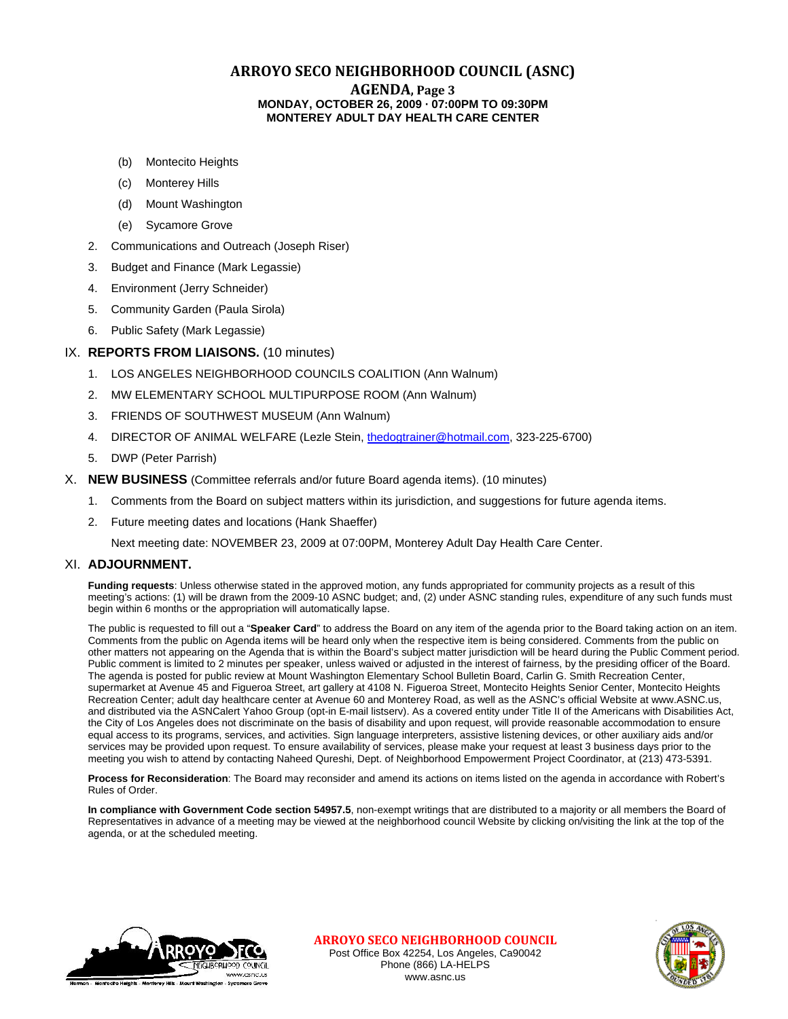## **ARROYO SECO NEIGHBORHOOD COUNCIL (ASNC)**

#### **AGENDA, Page 3 MONDAY, OCTOBER 26, 2009 · 07:00PM TO 09:30PM MONTEREY ADULT DAY HEALTH CARE CENTER**

- (b) Montecito Heights
- (c) Monterey Hills
- (d) Mount Washington
- (e) Sycamore Grove
- 2. Communications and Outreach (Joseph Riser)
- 3. Budget and Finance (Mark Legassie)
- 4. Environment (Jerry Schneider)
- 5. Community Garden (Paula Sirola)
- 6. Public Safety (Mark Legassie)

### IX. **REPORTS FROM LIAISONS.** (10 minutes)

- 1. LOS ANGELES NEIGHBORHOOD COUNCILS COALITION (Ann Walnum)
- 2. MW ELEMENTARY SCHOOL MULTIPURPOSE ROOM (Ann Walnum)
- 3. FRIENDS OF SOUTHWEST MUSEUM (Ann Walnum)
- 4. DIRECTOR OF ANIMAL WELFARE (Lezle Stein, [thedogtrainer@hotmail.com](mailto:thedogtrainer@hotmail.com), 323-225-6700)
- 5. DWP (Peter Parrish)
- X. **NEW BUSINESS** (Committee referrals and/or future Board agenda items). (10 minutes)
	- 1. Comments from the Board on subject matters within its jurisdiction, and suggestions for future agenda items.
	- 2. Future meeting dates and locations (Hank Shaeffer)

Next meeting date: NOVEMBER 23, 2009 at 07:00PM, Monterey Adult Day Health Care Center.

### XI. **ADJOURNMENT.**

**Funding requests**: Unless otherwise stated in the approved motion, any funds appropriated for community projects as a result of this meeting's actions: (1) will be drawn from the 2009-10 ASNC budget; and, (2) under ASNC standing rules, expenditure of any such funds must begin within 6 months or the appropriation will automatically lapse.

The public is requested to fill out a "**Speaker Card**" to address the Board on any item of the agenda prior to the Board taking action on an item. Comments from the public on Agenda items will be heard only when the respective item is being considered. Comments from the public on other matters not appearing on the Agenda that is within the Board's subject matter jurisdiction will be heard during the Public Comment period. Public comment is limited to 2 minutes per speaker, unless waived or adjusted in the interest of fairness, by the presiding officer of the Board. The agenda is posted for public review at Mount Washington Elementary School Bulletin Board, Carlin G. Smith Recreation Center, supermarket at Avenue 45 and Figueroa Street, art gallery at 4108 N. Figueroa Street, Montecito Heights Senior Center, Montecito Heights Recreation Center; adult day healthcare center at Avenue 60 and Monterey Road, as well as the ASNC's official Website at www.ASNC.us, and distributed via the ASNCalert Yahoo Group (opt-in E-mail listserv). As a covered entity under Title II of the Americans with Disabilities Act, the City of Los Angeles does not discriminate on the basis of disability and upon request, will provide reasonable accommodation to ensure equal access to its programs, services, and activities. Sign language interpreters, assistive listening devices, or other auxiliary aids and/or services may be provided upon request. To ensure availability of services, please make your request at least 3 business days prior to the meeting you wish to attend by contacting Naheed Qureshi, Dept. of Neighborhood Empowerment Project Coordinator, at (213) 473-5391.

**Process for Reconsideration**: The Board may reconsider and amend its actions on items listed on the agenda in accordance with Robert's Rules of Order.

**In compliance with Government Code section 54957.5**, non-exempt writings that are distributed to a majority or all members the Board of Representatives in advance of a meeting may be viewed at the neighborhood council Website by clicking on/visiting the link at the top of the agenda, or at the scheduled meeting.



**ARROYO SECO NEIGHBORHOOD COUNCIL** Post Office Box 42254, Los Angeles, Ca90042 Phone (866) LA-HELPS www.asnc.us